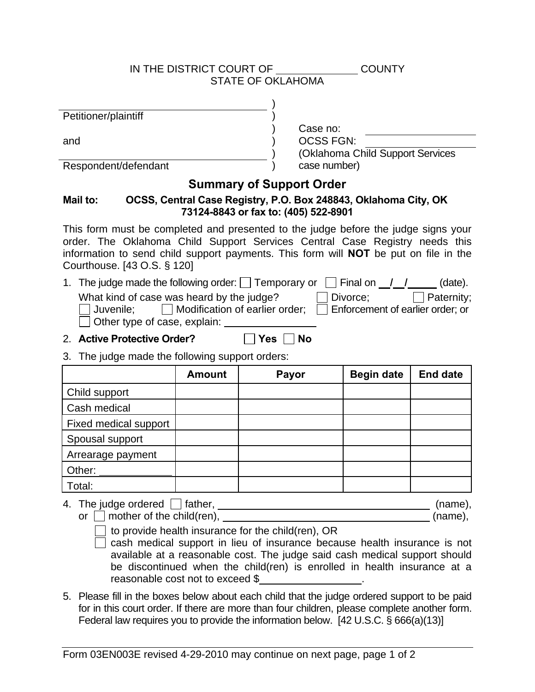### IN THE DISTRICT COURT OF COUNTY STATE OF OKLAHOMA

Petitioner/plaintiff )

and  $\qquad \qquad \qquad$ 

Respondent/defendant

#### Case no: OCSS FGN:

(Oklahoma Child Support Services ) case number)

# **Summary of Support Order**

)

)

)

## **Mail to: OCSS, Central Case Registry, P.O. Box 248843, Oklahoma City, OK 73124-8843 or fax to: (405) 522-8901**

This form must be completed and presented to the judge before the judge signs your order. The Oklahoma Child Support Services Central Case Registry needs this information to send child support payments. This form will **NOT** be put on file in the Courthouse. [43 O.S. § 120]

1. The judge made the following order:  $\Box$  Temporary or  $\Box$  Final on  $\Box / \Box / \Box$  (date).

|                                     | What kind of case was heard by the judge? | Divorce;                                   | Paternity; |
|-------------------------------------|-------------------------------------------|--------------------------------------------|------------|
| Juvenile;                           | Modification of earlier order:            | $\vert$   Enforcement of earlier order; or |            |
| $\Box$ Other type of case, explain: |                                           |                                            |            |

## 2. **Active Protective Order?** 2. **No**

3. The judge made the following support orders:

|                       | <b>Amount</b> | Payor | <b>Begin date</b> | <b>End date</b> |
|-----------------------|---------------|-------|-------------------|-----------------|
| Child support         |               |       |                   |                 |
| Cash medical          |               |       |                   |                 |
| Fixed medical support |               |       |                   |                 |
| Spousal support       |               |       |                   |                 |
| Arrearage payment     |               |       |                   |                 |
| Other:                |               |       |                   |                 |
| Total:                |               |       |                   |                 |

4. The judge ordered father, (name), or  $\Box$  mother of the child(ren),  $(name)$ ,  $(name)$ 

 $\Box$  to provide health insurance for the child(ren), OR

cash medical support in lieu of insurance because health insurance is not available at a reasonable cost. The judge said cash medical support should be discontinued when the child(ren) is enrolled in health insurance at a reasonable cost not to exceed \$ .

5. Please fill in the boxes below about each child that the judge ordered support to be paid for in this court order. If there are more than four children, please complete another form. Federal law requires you to provide the information below. [42 U.S.C. § 666(a)(13)]